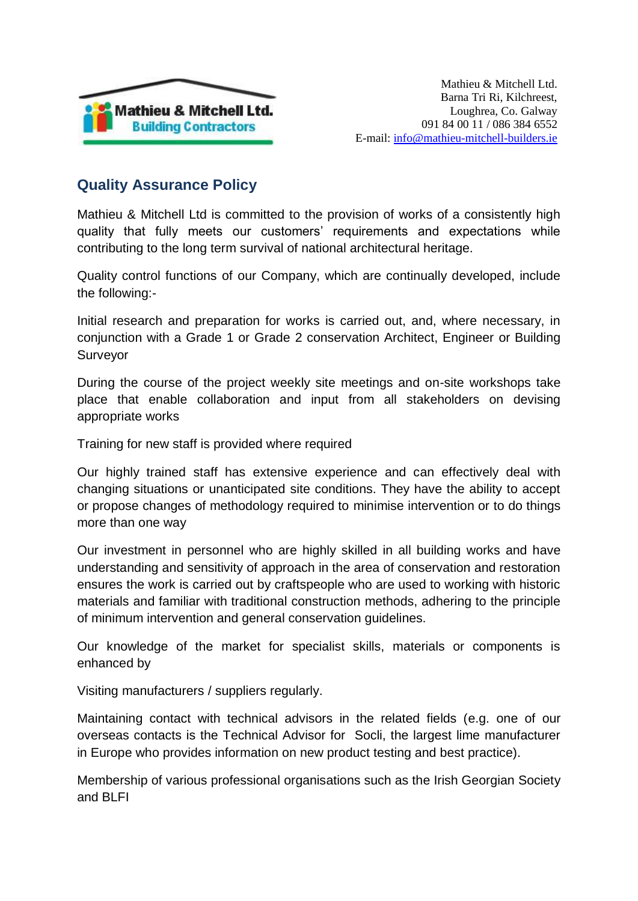

## **Quality Assurance Policy**

Mathieu & Mitchell Ltd is committed to the provision of works of a consistently high quality that fully meets our customers' requirements and expectations while contributing to the long term survival of national architectural heritage.

Quality control functions of our Company, which are continually developed, include the following:-

Initial research and preparation for works is carried out, and, where necessary, in conjunction with a Grade 1 or Grade 2 conservation Architect, Engineer or Building Surveyor

During the course of the project weekly site meetings and on-site workshops take place that enable collaboration and input from all stakeholders on devising appropriate works

Training for new staff is provided where required

Our highly trained staff has extensive experience and can effectively deal with changing situations or unanticipated site conditions. They have the ability to accept or propose changes of methodology required to minimise intervention or to do things more than one way

Our investment in personnel who are highly skilled in all building works and have understanding and sensitivity of approach in the area of conservation and restoration ensures the work is carried out by craftspeople who are used to working with historic materials and familiar with traditional construction methods, adhering to the principle of minimum intervention and general conservation guidelines.

Our knowledge of the market for specialist skills, materials or components is enhanced by

Visiting manufacturers / suppliers regularly.

Maintaining contact with technical advisors in the related fields (e.g. one of our overseas contacts is the Technical Advisor for Socli, the largest lime manufacturer in Europe who provides information on new product testing and best practice).

Membership of various professional organisations such as the Irish Georgian Society and BLFI